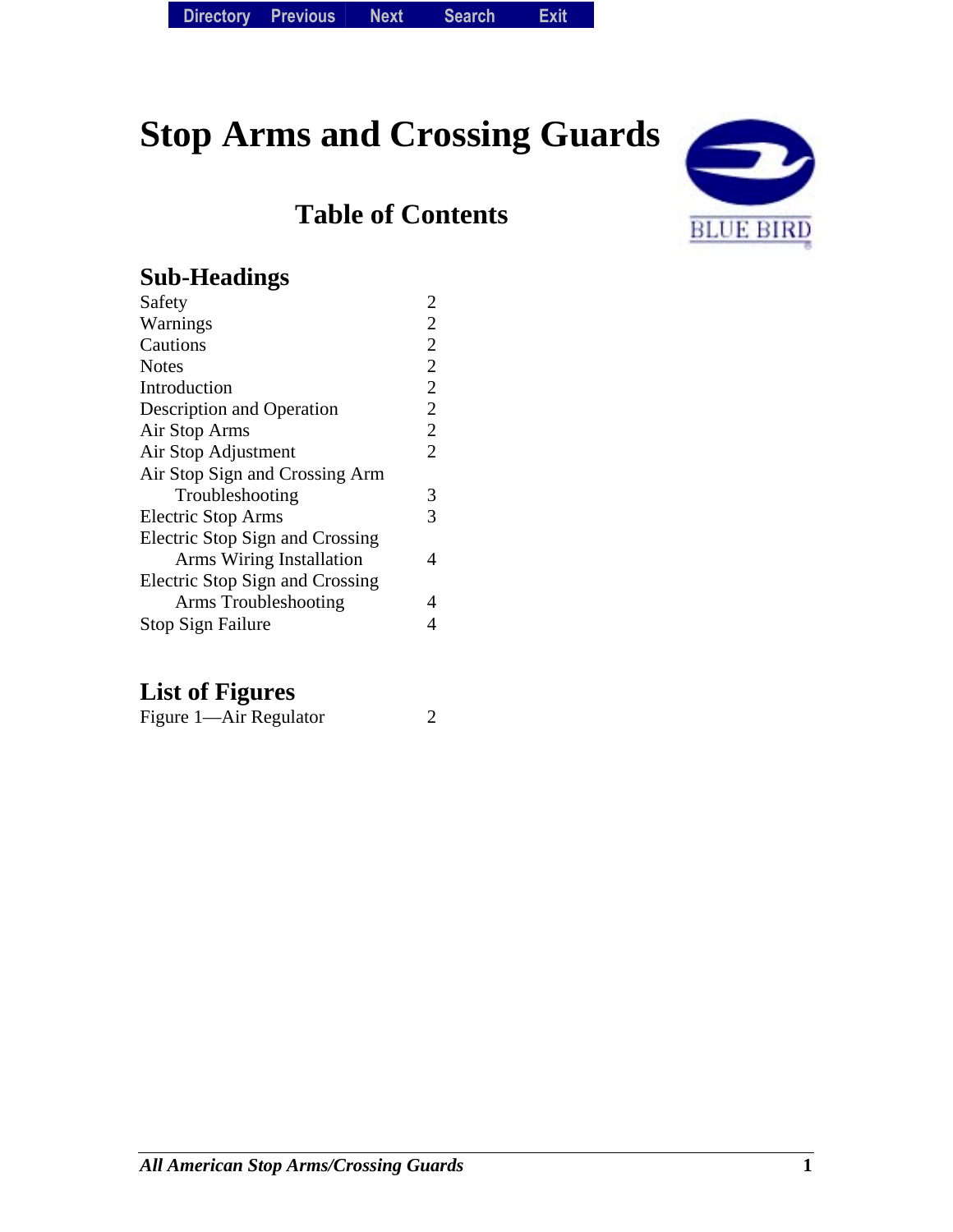# **Stop Arms and Crossing Guards**

## **Table of Contents**



### **Sub-Headings**

| $\overline{2}$ |
|----------------|
| $\overline{2}$ |
| $\overline{2}$ |
| $\overline{2}$ |
| $\overline{2}$ |
| $\overline{2}$ |
| $\overline{2}$ |
| $\overline{2}$ |
|                |
| 3              |
| 3              |
|                |
| 4              |
|                |
| 4              |
|                |
|                |

### **List of Figures**

| Figure 1—Air Regulator |  |
|------------------------|--|
|------------------------|--|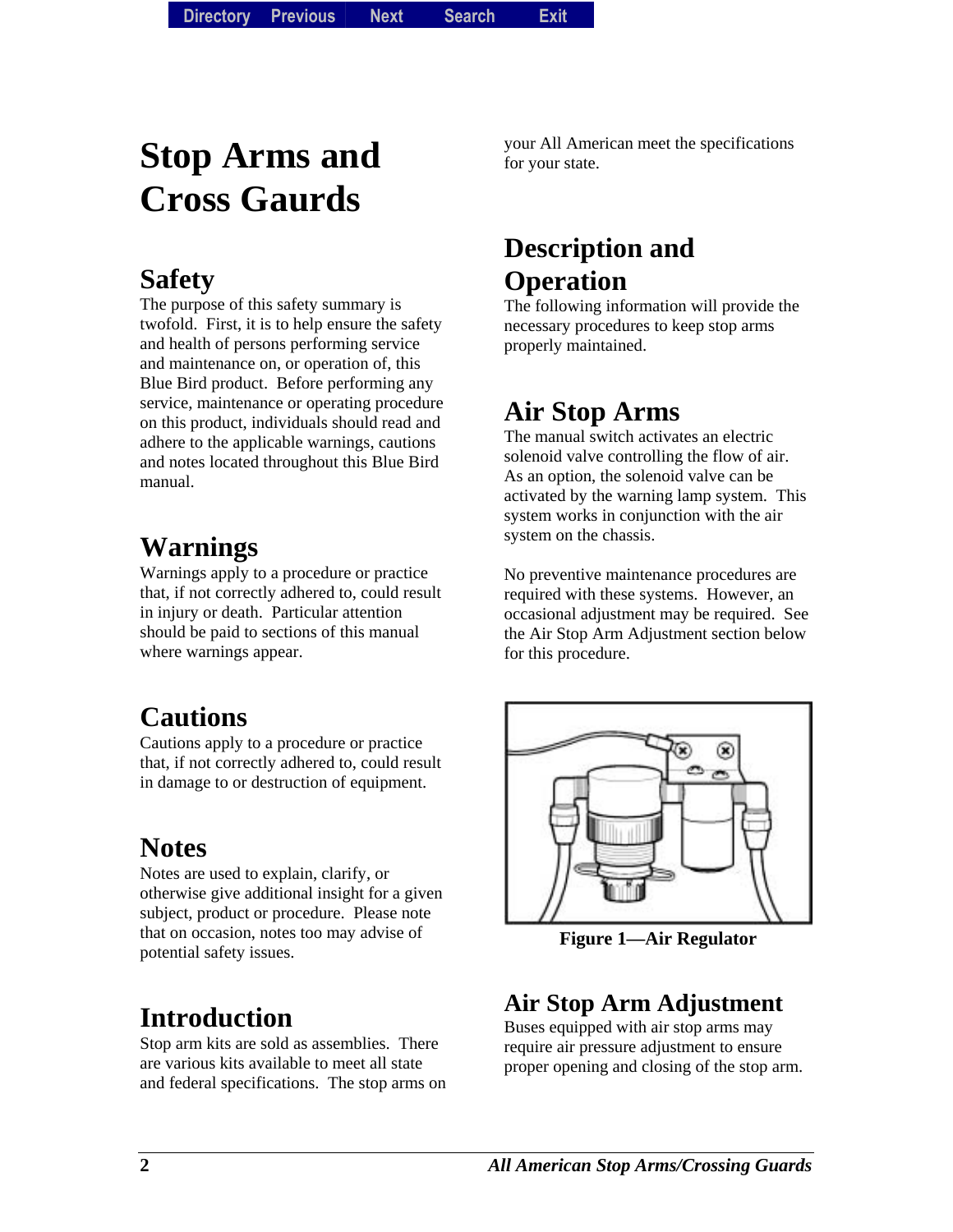**Directory Directory Previous** *Previous* **Next Search** *Search***Exit** *Exit*

# **Stop Arms and Cross Gaurds**

### **Safety**

The purpose of this safety summary is twofold. First, it is to help ensure the safety and health of persons performing service and maintenance on, or operation of, this Blue Bird product. Before performing any service, maintenance or operating procedure on this product, individuals should read and adhere to the applicable warnings, cautions and notes located throughout this Blue Bird manual.

# **Warnings**

Warnings apply to a procedure or practice that, if not correctly adhered to, could result in injury or death. Particular attention should be paid to sections of this manual where warnings appear.

# **Cautions**

Cautions apply to a procedure or practice that, if not correctly adhered to, could result in damage to or destruction of equipment.

# **Notes**

Notes are used to explain, clarify, or otherwise give additional insight for a given subject, product or procedure. Please note that on occasion, notes too may advise of potential safety issues.

# **Introduction**

Stop arm kits are sold as assemblies. There are various kits available to meet all state and federal specifications. The stop arms on your All American meet the specifications for your state.

## **Description and Operation**

The following information will provide the necessary procedures to keep stop arms properly maintained.

## **Air Stop Arms**

The manual switch activates an electric solenoid valve controlling the flow of air. As an option, the solenoid valve can be activated by the warning lamp system. This system works in conjunction with the air system on the chassis.

No preventive maintenance procedures are required with these systems. However, an occasional adjustment may be required. See the Air Stop Arm Adjustment section below for this procedure.



**Figure 1—Air Regulator** 

### **Air Stop Arm Adjustment**

Buses equipped with air stop arms may require air pressure adjustment to ensure proper opening and closing of the stop arm.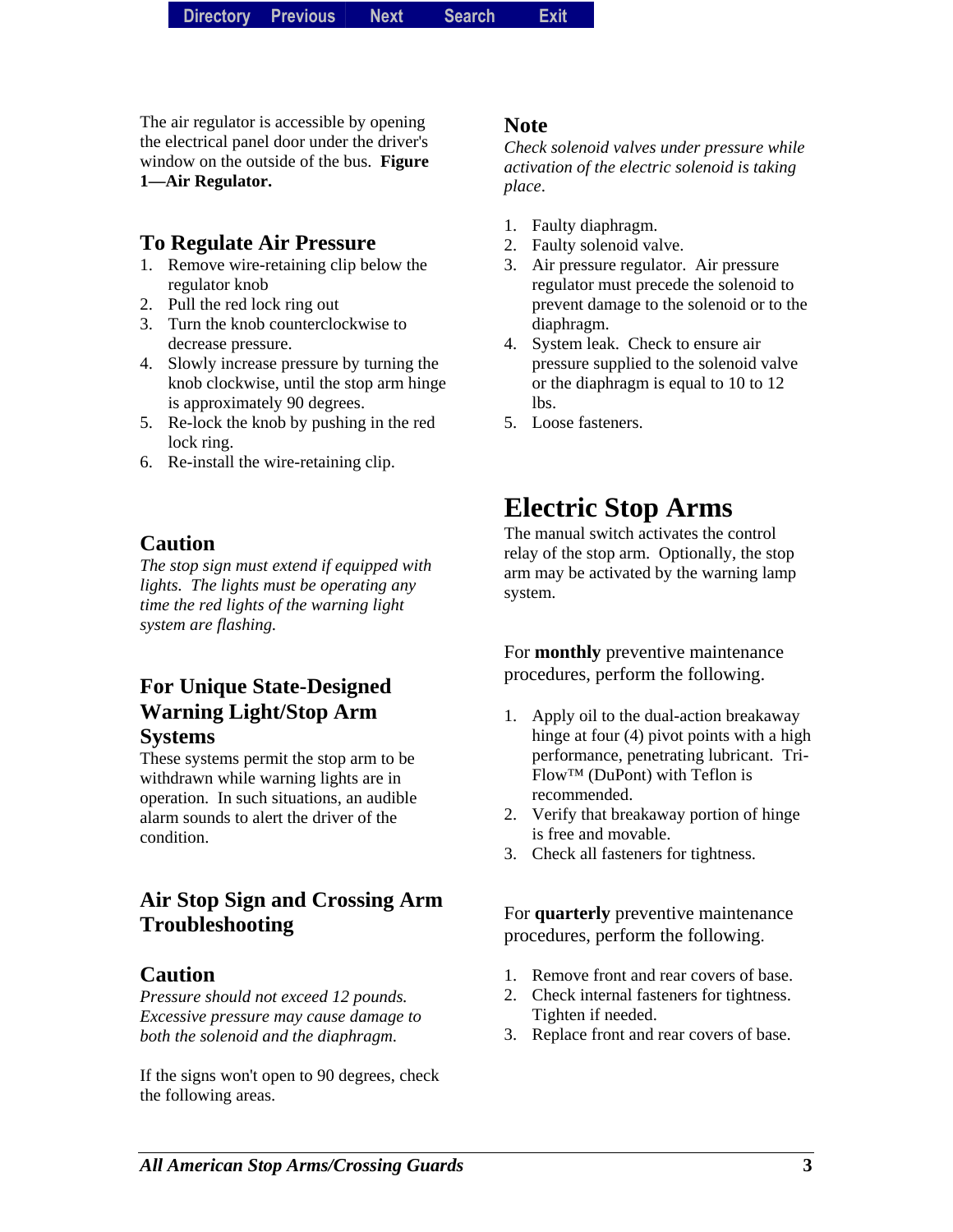The air regulator is accessible by opening the electrical panel door under the driver's window on the outside of the bus. **Figure 1—Air Regulator.** 

#### **To Regulate Air Pressure**

- 1. Remove wire-retaining clip below the regulator knob
- 2. Pull the red lock ring out
- 3. Turn the knob counterclockwise to decrease pressure.
- 4. Slowly increase pressure by turning the knob clockwise, until the stop arm hinge is approximately 90 degrees.
- 5. Re-lock the knob by pushing in the red lock ring.
- 6. Re-install the wire-retaining clip.

#### **Caution**

*The stop sign must extend if equipped with lights. The lights must be operating any time the red lights of the warning light system are flashing.* 

#### **For Unique State-Designed Warning Light/Stop Arm Systems**

These systems permit the stop arm to be withdrawn while warning lights are in operation. In such situations, an audible alarm sounds to alert the driver of the condition.

### **Air Stop Sign and Crossing Arm Troubleshooting**

#### **Caution**

*Pressure should not exceed 12 pounds. Excessive pressure may cause damage to both the solenoid and the diaphragm.* 

If the signs won't open to 90 degrees, check the following areas.

#### **Note**

*Check solenoid valves under pressure while activation of the electric solenoid is taking place*.

- 1. Faulty diaphragm.
- 2. Faulty solenoid valve.
- 3. Air pressure regulator. Air pressure regulator must precede the solenoid to prevent damage to the solenoid or to the diaphragm.
- 4. System leak. Check to ensure air pressure supplied to the solenoid valve or the diaphragm is equal to 10 to 12 lbs.
- 5. Loose fasteners.

### **Electric Stop Arms**

The manual switch activates the control relay of the stop arm. Optionally, the stop arm may be activated by the warning lamp system.

For **monthly** preventive maintenance procedures, perform the following.

- 1. Apply oil to the dual-action breakaway hinge at four (4) pivot points with a high performance, penetrating lubricant. Tri-Flow™ (DuPont) with Teflon is recommended.
- 2. Verify that breakaway portion of hinge is free and movable.
- 3. Check all fasteners for tightness.

For **quarterly** preventive maintenance procedures, perform the following.

- 1. Remove front and rear covers of base.
- 2. Check internal fasteners for tightness. Tighten if needed.
- 3. Replace front and rear covers of base.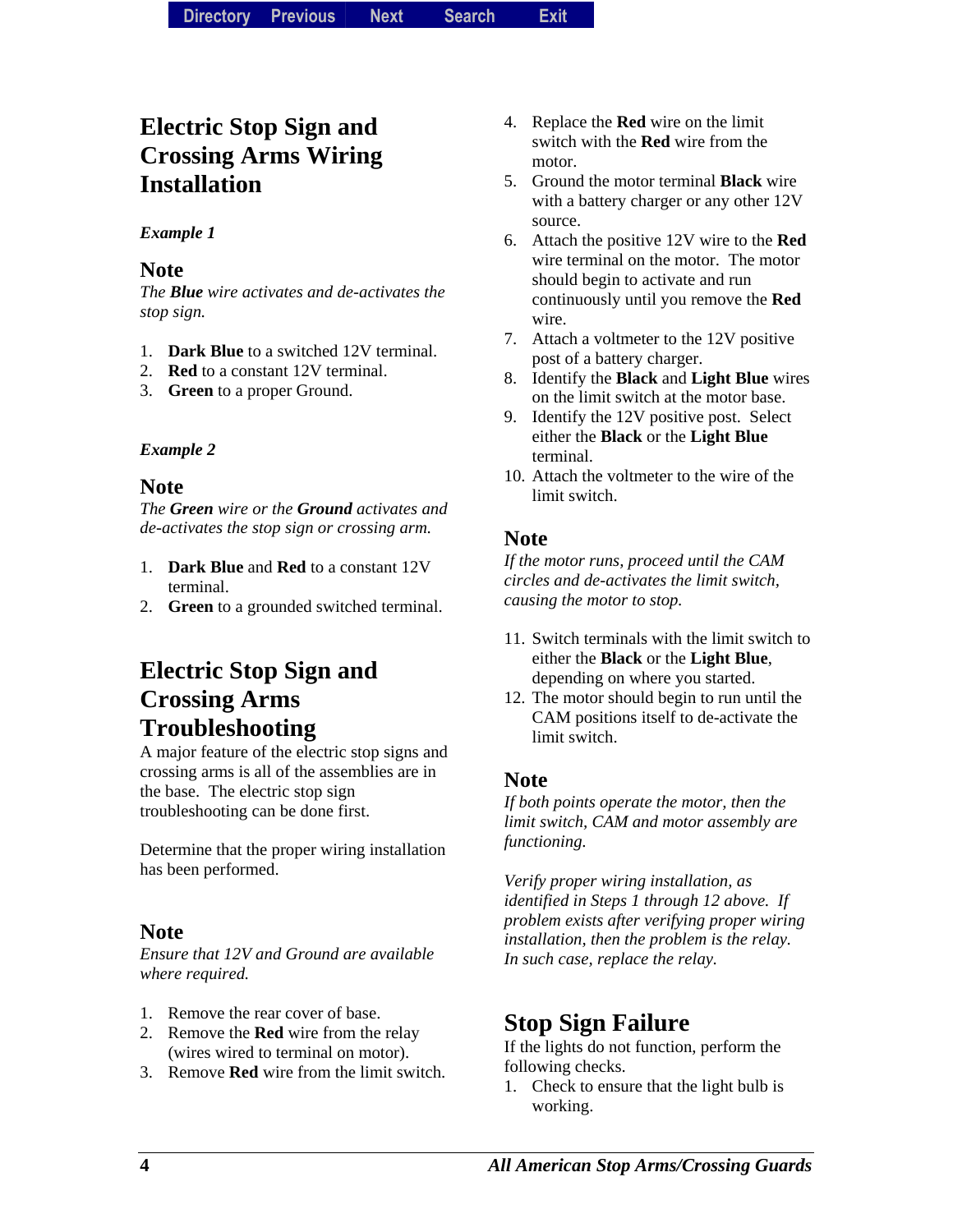### **Electric Stop Sign and Crossing Arms Wiring Installation**

#### *Example 1*

#### **Note**

*The Blue wire activates and de-activates the stop sign.* 

- 1. **Dark Blue** to a switched 12V terminal.
- 2. **Red** to a constant 12V terminal.
- 3. **Green** to a proper Ground.

#### *Example 2*

#### **Note**

*The Green wire or the Ground activates and de-activates the stop sign or crossing arm.* 

- 1. **Dark Blue** and **Red** to a constant 12V terminal.
- 2. **Green** to a grounded switched terminal.

### **Electric Stop Sign and Crossing Arms Troubleshooting**

A major feature of the electric stop signs and crossing arms is all of the assemblies are in the base. The electric stop sign troubleshooting can be done first.

Determine that the proper wiring installation has been performed.

#### **Note**

*Ensure that 12V and Ground are available where required.* 

- 1. Remove the rear cover of base.
- 2. Remove the **Red** wire from the relay (wires wired to terminal on motor).
- 3. Remove **Red** wire from the limit switch.
- 4. Replace the **Red** wire on the limit switch with the **Red** wire from the motor.
- 5. Ground the motor terminal **Black** wire with a battery charger or any other 12V source.
- 6. Attach the positive 12V wire to the **Red** wire terminal on the motor. The motor should begin to activate and run continuously until you remove the **Red** wire.
- 7. Attach a voltmeter to the 12V positive post of a battery charger.
- 8. Identify the **Black** and **Light Blue** wires on the limit switch at the motor base.
- 9. Identify the 12V positive post. Select either the **Black** or the **Light Blue**  terminal.
- 10. Attach the voltmeter to the wire of the limit switch.

#### **Note**

*If the motor runs, proceed until the CAM circles and de-activates the limit switch, causing the motor to stop.* 

- 11. Switch terminals with the limit switch to either the **Black** or the **Light Blue**, depending on where you started.
- 12. The motor should begin to run until the CAM positions itself to de-activate the limit switch.

#### **Note**

*If both points operate the motor, then the limit switch, CAM and motor assembly are functioning.* 

*Verify proper wiring installation, as identified in Steps 1 through 12 above. If problem exists after verifying proper wiring installation, then the problem is the relay. In such case, replace the relay.* 

### **Stop Sign Failure**

If the lights do not function, perform the following checks.

1. Check to ensure that the light bulb is working.